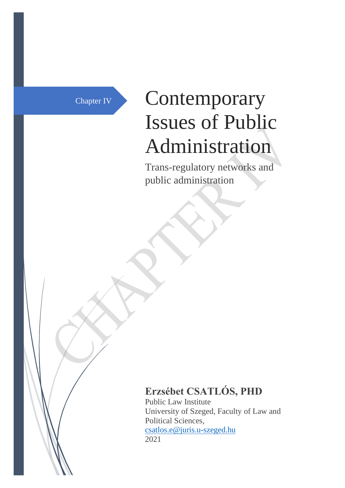# Chapter IV Contemporary Issues of Public Administration

Trans-regulatory networks and public administration

## **Erzsébet CSATLÓS, PHD**

Public Law Institute University of Szeged, Faculty of Law and Political Sciences, [csatlos.e@juris.u-szeged.hu](mailto:csatlos.e@juris.u-szeged.hu) 2021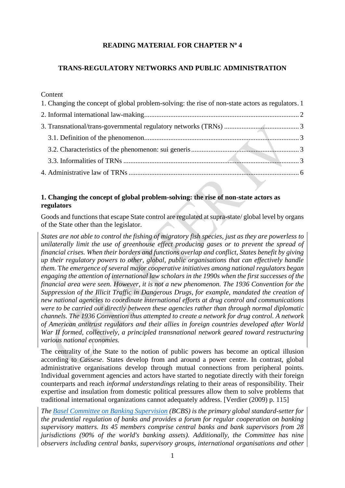## **READING MATERIAL FOR CHAPTER N<sup>o</sup> 4**

## **TRANS-REGULATORY NETWORKS AND PUBLIC ADMINISTRATION**

**Content** 

| 1. Changing the concept of global problem-solving: the rise of non-state actors as regulators. 1 |  |
|--------------------------------------------------------------------------------------------------|--|
|                                                                                                  |  |
|                                                                                                  |  |
|                                                                                                  |  |
|                                                                                                  |  |
|                                                                                                  |  |
|                                                                                                  |  |

## <span id="page-1-0"></span>**1. Changing the concept of global problem-solving: the rise of non-state actors as regulators**

Goods and functions that escape State control are regulated at supra-state/ global level by organs of the State other than the legislator.

*States are not able to control the fishing of migratory fish species, just as they are powerless to unilaterally limit the use of greenhouse effect producing gases or to prevent the spread of financial crises. When their borders and functions overlap and conflict, States benefit by giving up their regulatory powers to other, global, public organisations that can effectively handle them.* T*he emergence of several major cooperative initiatives among national regulators began engaging the attention of international law scholars in the 1990s when the first successes of the financial area were seen. However, it is not a new phenomenon. The 1936 Convention for the Suppression of the Illicit Traffic in Dangerous Drugs, for example, mandated the creation of new national agencies to coordinate international efforts at drug control and communications were to be carried out directly between these agencies rather than through normal diplomatic channels. The 1936 Convention thus attempted to create a network for drug control. A network of American antitrust regulators and their allies in foreign countries developed after World War II formed, collectively, a principled transnational network geared toward restructuring various national economies.*

The centrality of the State to the notion of public powers has become an optical illusion according to *Cassese*. States develop from and around a power centre. In contrast, global administrative organisations develop through mutual connections from peripheral points. Individual government agencies and actors have started to negotiate directly with their foreign counterparts and reach *informal understandings* relating to their areas of responsibility. Their expertise and insulation from domestic political pressures allow them to solve problems that traditional international organizations cannot adequately address. [Verdier (2009) p. 115]

*The [Basel Committee on Banking Supervision](https://www.bis.org/bcbs/) (BCBS) is the primary global standard-setter for the prudential regulation of banks and provides a forum for regular cooperation on banking supervisory matters. Its 45 members comprise central banks and bank supervisors from 28 jurisdictions (90% of the world's banking assets). Additionally, the Committee has nine observers including central banks, supervisory groups, international organisations and other*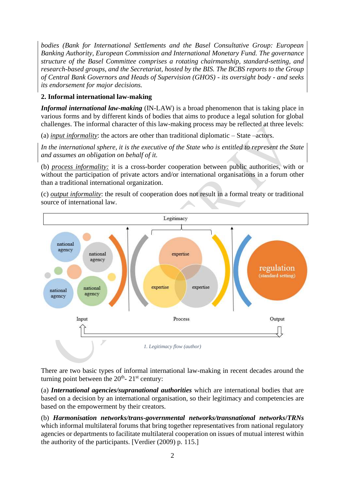*bodies (Bank for International Settlements and the Basel Consultative Group: European Banking Authority, European Commission and International Monetary Fund. The governance structure of the Basel Committee comprises a rotating chairmanship, standard-setting, and research-based groups, and the Secretariat, hosted by the BIS. The BCBS reports to the Group of Central Bank Governors and Heads of Supervision (GHOS) - its oversight body - and seeks its endorsement for major decisions.*

## <span id="page-2-0"></span>**2. Informal international law-making**

*Informal international law-making* (IN-LAW) is a broad phenomenon that is taking place in various forms and by different kinds of bodies that aims to produce a legal solution for global challenges. The informal character of this law-making process may be reflected at three levels:

(a) *input informality*: the actors are other than traditional diplomatic – State –actors.

*In the international sphere, it is the executive of the State who is entitled to represent the State and assumes an obligation on behalf of it.* 

(b) *process informality:* it is a cross-border cooperation between public authorities, with or without the participation of private actors and/or international organisations in a forum other than a traditional international organization.

(c) *output informality*: the result of cooperation does not result in a formal treaty or traditional source of international law.



There are two basic types of informal international law-making in recent decades around the turning point between the  $20<sup>th</sup>$ -  $21<sup>st</sup>$  century:

(a) *International agencies/supranational authorities* which are international bodies that are based on a decision by an international organisation, so their legitimacy and competencies are based on the empowerment by their creators.

(b) *Harmonisation networks/trans-governmental networks/transnational networks***/***TRNs* which informal multilateral forums that bring together representatives from national regulatory agencies or departments to facilitate multilateral cooperation on issues of mutual interest within the authority of the participants. [Verdier (2009) p. 115.]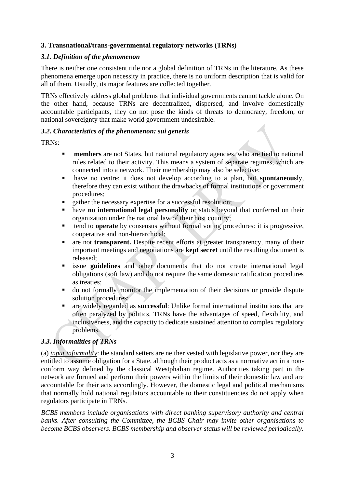## <span id="page-3-0"></span>**3. Transnational/trans-governmental regulatory networks (TRNs)**

## <span id="page-3-1"></span>*3.1. Definition of the phenomenon*

There is neither one consistent title nor a global definition of TRNs in the literature. As these phenomena emerge upon necessity in practice, there is no uniform description that is valid for all of them. Usually, its major features are collected together.

TRNs effectively address global problems that individual governments cannot tackle alone. On the other hand, because TRNs are decentralized, dispersed, and involve domestically accountable participants, they do not pose the kinds of threats to democracy, freedom, or national sovereignty that make world government undesirable.

## <span id="page-3-2"></span>*3.2. Characteristics of the phenomenon: sui generis*

TRNs:

- **EXECUTE: members** are not States, but national regulatory agencies, who are tied to national rules related to their activity. This means a system of separate regimes, which are connected into a network. Their membership may also be selective;
- have no centre; it does not develop according to a plan, but **spontaneous**ly, therefore they can exist without the drawbacks of formal institutions or government procedures;
- gather the necessary expertise for a successful resolution;
- have **no international legal personality** or status beyond that conferred on their organization under the national law of their host country;
- tend to **operate** by consensus without formal voting procedures: it is progressive, cooperative and non-hierarchical;
- **EXECUTE:** are not **transparent.** Despite recent efforts at greater transparency, many of their important meetings and negotiations are **kept secret** until the resulting document is released;
- issue **guidelines** and other documents that do not create international legal obligations (soft law) and do not require the same domestic ratification procedures as treaties;
- do not formally monitor the implementation of their decisions or provide dispute solution procedures;
- are widely regarded as **successful**: Unlike formal international institutions that are often paralyzed by politics, TRNs have the advantages of speed, flexibility, and inclusiveness, and the capacity to dedicate sustained attention to complex regulatory problems.

## <span id="page-3-3"></span>*3.3. Informalities of TRNs*

(a) *input informality*: the standard setters are neither vested with legislative power, nor they are entitled to assume obligation for a State, although their product acts as a normative act in a nonconform way defined by the classical Westphalian regime. Authorities taking part in the network are formed and perform their powers within the limits of their domestic law and are accountable for their acts accordingly. However, the domestic legal and political mechanisms that normally hold national regulators accountable to their constituencies do not apply when regulators participate in TRNs.

*BCBS members include organisations with direct banking supervisory authority and central banks. After consulting the Committee, the BCBS Chair may invite other organisations to become BCBS observers. BCBS membership and observer status will be reviewed periodically.*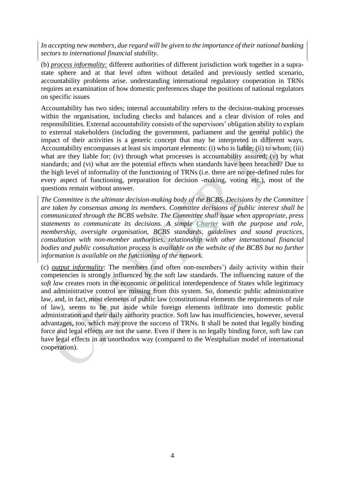*In accepting new members, due regard will be given to the importance of their national banking sectors to international financial stability.*

(b) *process informality:* different authorities of different jurisdiction work together in a suprastate sphere and at that level often without detailed and previously settled scenario, accountability problems arise. understanding international regulatory cooperation in TRNs requires an examination of how domestic preferences shape the positions of national regulators on specific issues

Accountability has two sides; internal accountability refers to the decision-making processes within the organisation, including checks and balances and a clear division of roles and responsibilities. External accountability consists of the supervisors' obligation ability to explain to external stakeholders (including the government, parliament and the general public) the impact of their activities is a generic concept that may be interpreted in different ways. Accountability encompasses at least six important elements: (i) who is liable; (ii) to whom; (iii) what are they liable for; (iv) through what processes is accountability assured; (v) by what standards; and (vi) what are the potential effects when standards have been breached? Due to the high level of informality of the functioning of TRNs (i.e. there are no pre-defined rules for every aspect of functioning, preparation for decision -making, voting etc.), most of the questions remain without answer.

*The Committee is the ultimate decision-making body of the BCBS. Decisions by the Committee are taken by consensus among its members. Committee decisions of public interest shall be communicated through the BCBS website. The Committee shall issue when appropriate, press statements to communicate its decisions. A simple [Charter](https://www.bis.org/bcbs/charter.htm?m=3%7C14%7C573%7C70) with the purpose and role, membership, oversight organisation, BCBS standards, guidelines and sound practices, consultation with non-member authorities, relationship with other international financial bodies and public consultation process is available on the website of the BCBS but no further information is available on the functioning of the network.*

(c) *output informality*: The members (and often non-members') daily activity within their competencies is strongly influenced by the soft law standards. The influencing nature of the *soft law* creates roots in the economic or political interdependence of States while legitimacy and administrative control are missing from this system. So, domestic public administrative law, and, in fact, most elements of public law (constitutional elements the requirements of rule of law), seems to be put aside while foreign elements infiltrate into domestic public administration and their daily authority practice. Soft law has insufficiencies, however, several advantages, too, which may prove the success of TRNs. It shall be noted that legally binding force and legal effects are not the same. Even if there is no legally binding force, soft law can have legal effects in an unorthodox way (compared to the Westphalian model of international cooperation).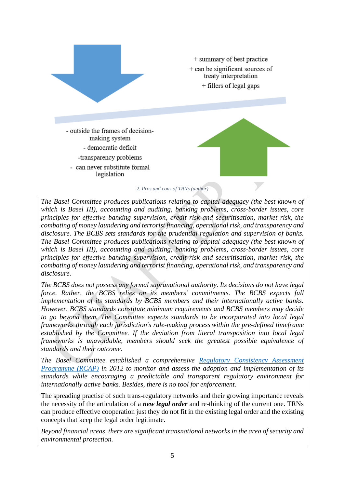

*2. Pros and cons of TRNs (author)*

*The Basel Committee produces publications relating to capital adequacy (the best known of which is Basel III), accounting and auditing, banking problems, cross-border issues, core principles for effective banking supervision, credit risk and securitisation, market risk, the combating of money laundering and terrorist financing, operational risk, and transparency and disclosure. The BCBS sets standards for the prudential regulation and supervision of banks. The Basel Committee produces publications relating to capital adequacy (the best known of which is Basel III), accounting and auditing, banking problems, cross-border issues, core principles for effective banking supervision, credit risk and securitisation, market risk, the combating of money laundering and terrorist financing, operational risk, and transparency and disclosure.*

*The BCBS does not possess any formal supranational authority. Its decisions do not have legal force. Rather, the BCBS relies on its members' commitments. The BCBS expects full implementation of its standards by BCBS members and their internationally active banks. However, BCBS standards constitute minimum requirements and BCBS members may decide to go beyond them. The Committee expects standards to be incorporated into local legal frameworks through each jurisdiction's rule-making process within the pre-defined timeframe established by the Committee. If the deviation from literal transposition into local legal frameworks is unavoidable, members should seek the greatest possible equivalence of standards and their outcome.*

*The Basel Committee established a comprehensive [Regulatory Consistency Assessment](https://www.bis.org/bcbs/implementation/rcap_role.htm?m=3%7C14%7C656%7C58)  [Programme \(RCAP\)](https://www.bis.org/bcbs/implementation/rcap_role.htm?m=3%7C14%7C656%7C58) in 2012 to monitor and assess the adoption and implementation of its standards while encouraging a predictable and transparent regulatory environment for internationally active banks. Besides, there is no tool for enforcement.*

The spreading practise of such trans-regulatory networks and their growing importance reveals the necessity of the articulation of a *new legal order* and re-thinking of the current one. TRNs can produce effective cooperation just they do not fit in the existing legal order and the existing concepts that keep the legal order legitimate.

*Beyond financial areas, there are significant transnational networks in the area of security and environmental protection.*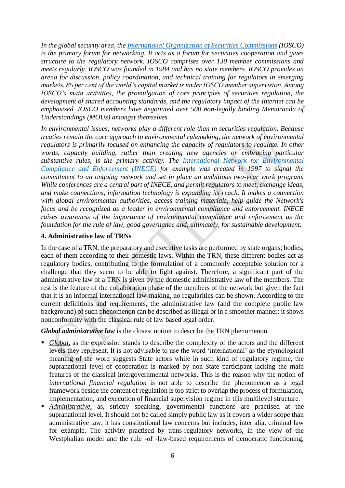*In the global security area, the [International Organization of Securities Commissions](https://www.iosco.org/) (IOSCO) is the primary forum for networking. It acts as a forum for securities cooperation and gives structure to the regulatory network. IOSCO comprises over 130 member commissions and meets regularly. IOSCO was founded in 1984 and has no state members. IOSCO provides an arena for discussion, policy coordination, and technical training for regulators in emerging markets. 85 per cent of the world's capital market is under IOSCO member supervision. Among IOSCO's main activities, the promulgation of core principles of securities regulation, the development of shared accounting standards, and the regulatory impact of the Internet can be emphasized. IOSCO members have negotiated over 500 non-legally binding Memoranda of Understandings (MOUs) amongst themselves.* 

*In environmental issues, networks play a different role than in securities regulation. Because treaties remain the core approach to environmental rulemaking, the network of environmental regulators is primarily focused on enhancing the capacity of regulators to regulate. In other*  words, capacity building, rather than creating new agencies or embracing particular *substantive rules, is the primary activity. The [International Network for Environmental](https://inece.org/)  [Compliance and Enforcement \(INECE\)](https://inece.org/) for example was created in 1997 to signal the commitment to an ongoing network and set in place an ambitious two-year work program. While conferences are a central part of INECE, and permit regulators to meet, exchange ideas, and make connections, information technology is expanding its reach. It makes a connection with global environmental authorities, access training materials, help guide the Network's focus and be recognized as a leader in environmental compliance and enforcement. INECE raises awareness of the importance of environmental compliance and enforcement as the foundation for the rule of law, good governance and, ultimately, for sustainable development.*

## <span id="page-6-0"></span>**4. Administrative law of TRNs**

In the case of a TRN, the preparatory and executive tasks are performed by state organs; bodies, each of them according to their domestic laws. Within the TRN, these different bodies act as regulatory bodies, contributing to the formulation of a commonly acceptable solution for a challenge that they seem to be able to fight against. Therefore, a significant part of the administrative law of a TRN is given by the domestic administrative law of the members. The rest is the feature of the collaboration phase of the members of the network but given the fact that it is an informal international law-making, no regularities can be shown. According to the current definitions and requirements, the administrative law (and the complete public law background) of such phenomenon can be described as illegal or in a smoother manner: it shows nonconformity with the classical rule of law based legal order.

*Global administrative law* is the closest notion to describe the TRN phenomenon.

- *Global*, as the expression stands to describe the complexity of the actors and the different levels they represent. It is not advisable to use the word 'international' as the etymological meaning of the word suggests State actors while in such kind of regulatory regime, the supranational level of cooperation is marked by non-State participant lacking the main features of the classical intergovernmental networks. This is the reason why the notion of *international financial regulation* is not able to describe the phenomenon as a legal framework beside the content of regulation is too strict to overlap the process of formulation, implementation, and execution of financial supervision regime in this multilevel structure.
- **Administrative**, as, strictly speaking, governmental functions are practised at the supranational level. It should not be called simply public law as it covers a wider scope than administrative law, it has constitutional law concerns but includes, inter alia, criminal law for example. The activity practised by trans-regulatory networks, in the view of the Westphalian model and the rule -of -law-based requirements of democratic functioning,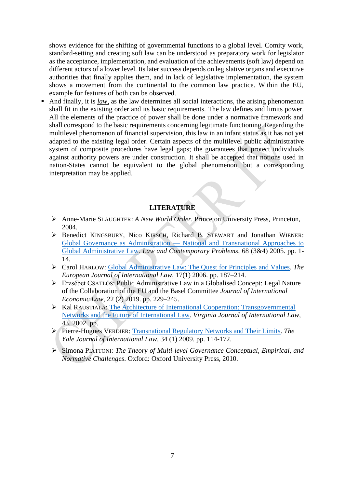shows evidence for the shifting of governmental functions to a global level. Comity work, standard-setting and creating soft law can be understood as preparatory work for legislator as the acceptance, implementation, and evaluation of the achievements (soft law) depend on different actors of a lower level. Its later success depends on legislative organs and executive authorities that finally applies them, and in lack of legislative implementation, the system shows a movement from the continental to the common law practice. Within the EU, example for features of both can be observed.

■ And finally, it is *law*, as the law determines all social interactions, the arising phenomenon shall fit in the existing order and its basic requirements. The law defines and limits power. All the elements of the practice of power shall be done under a normative framework and shall correspond to the basic requirements concerning legitimate functioning. Regarding the multilevel phenomenon of financial supervision, this law in an infant status as it has not yet adapted to the existing legal order. Certain aspects of the multilevel public administrative system of composite procedures have legal gaps; the guarantees that protect individuals against authority powers are under construction. It shall be accepted that notions used in nation-States cannot be equivalent to the global phenomenon, but a corresponding interpretation may be applied.

## **LITERATURE**

- ➢ Anne-Marie SLAUGHTER: *A New World Order*. Princeton University Press, Princeton, 2004.
- ➢ Benedict KINGSBURY, Nico KIRSCH, Richard B. STEWART and Jonathan WIENER: Global Governance as Administration — [National and Transnational Approaches to](https://scholarship.law.duke.edu/lcp/vol68/iss3/1/)  [Global Administrative Law.](https://scholarship.law.duke.edu/lcp/vol68/iss3/1/) *Law and Contemporary Problems*, 68 (3&4) 2005. pp. 1- 14.
- ➢ Carol HARLOW: [Global Administrative Law: The Quest for Principles](file:///C:/Users/home/NAS-Drive/Malacka%20munkája/ERASMUS/kurzusok/Course_Contemporary%20Issues%20of%20PA/4.%20pakk/Global%20Administrative%20Law:%20The%20Quest%20for%20Principles%20and%20Values) and Values. *The European Journal of International Law*, 17(1) 2006. pp. 187–214.
- ➢ Erzsébet CSATLÓS: Public Administrative Law in a Globalised Concept: Legal Nature of the Collaboration of the EU and the Basel Committee *Journal of International Economic Law,* 22 (2) 2019. pp. 229–245.
- ➢ Kal RAUSTIALA: [The Architecture of International Cooperation: Transgovernmental](https://papers.ssrn.com/sol3/papers.cfm?abstract_id=333381)  [Networks and the Future of International Law.](https://papers.ssrn.com/sol3/papers.cfm?abstract_id=333381) *Virginia Journal of International Law,* 43. 2002. pp.
- ➢ Pierre-Hugues VERDIER: [Transnational Regulatory Networks and Their Limits.](https://pdfs.semanticscholar.org/3ddb/a9538bc8e327670c291c121a77c8288dc1c9.pdf) *The Yale Journal of International Law,* 34 (1) 2009. pp. 114-172.
- ➢ Simona PIATTONI: *The Theory of Multi-level Governance Conceptual, Empirical, and Normative Challenges*. Oxford: Oxford University Press, 2010.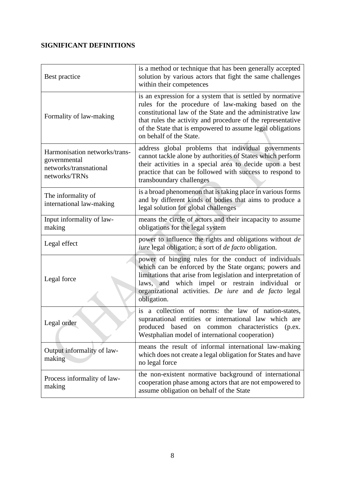## **SIGNIFICANT DEFINITIONS**

| Best practice                                                                            | is a method or technique that has been generally accepted<br>solution by various actors that fight the same challenges<br>within their competences                                                                                                                                                                                     |
|------------------------------------------------------------------------------------------|----------------------------------------------------------------------------------------------------------------------------------------------------------------------------------------------------------------------------------------------------------------------------------------------------------------------------------------|
| Formality of law-making                                                                  | is an expression for a system that is settled by normative<br>rules for the procedure of law-making based on the<br>constitutional law of the State and the administrative law<br>that rules the activity and procedure of the representative<br>of the State that is empowered to assume legal obligations<br>on behalf of the State. |
| Harmonisation networks/trans-<br>governmental<br>networks/transnational<br>networks/TRNs | address global problems that individual governments<br>cannot tackle alone by authorities of States which perform<br>their activities in a special area to decide upon a best<br>practice that can be followed with success to respond to<br>transboundary challenges                                                                  |
| The informality of<br>international law-making                                           | is a broad phenomenon that is taking place in various forms<br>and by different kinds of bodies that aims to produce a<br>legal solution for global challenges                                                                                                                                                                         |
| Input informality of law-<br>making                                                      | means the circle of actors and their incapacity to assume<br>obligations for the legal system                                                                                                                                                                                                                                          |
| Legal effect                                                                             | power to influence the rights and obligations without de<br><i>iure</i> legal obligation; a sort of <i>de facto</i> obligation.                                                                                                                                                                                                        |
| Legal force                                                                              | power of binging rules for the conduct of individuals<br>which can be enforced by the State organs; powers and<br>limitations that arise from legislation and interpretation of<br>and which impel or restrain individual or<br>laws,<br>organizational activities. De iure and de facto legal<br>obligation.                          |
| Legal order                                                                              | is a collection of norms: the law of nation-states,<br>supranational entities or international law which are<br>produced based on common characteristics<br>(p.ex.<br>Westphalian model of international cooperation)                                                                                                                  |
| Output informality of law-<br>making                                                     | means the result of informal international law-making<br>which does not create a legal obligation for States and have<br>no legal force                                                                                                                                                                                                |
| Process informality of law-<br>making                                                    | the non-existent normative background of international<br>cooperation phase among actors that are not empowered to<br>assume obligation on behalf of the State                                                                                                                                                                         |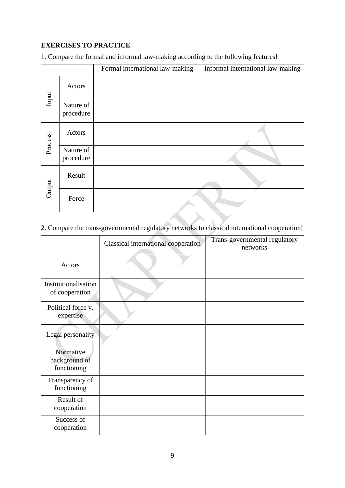## **EXERCISES TO PRACTICE**

1. Compare the formal and informal law-making according to the following features!

|         |                        | Formal international law-making | Informal international law-making |
|---------|------------------------|---------------------------------|-----------------------------------|
| Input   | Actors                 |                                 |                                   |
|         | Nature of<br>procedure |                                 |                                   |
| Process | Actors                 |                                 |                                   |
|         | Nature of<br>procedure |                                 |                                   |
| Output  | Result                 |                                 |                                   |
|         | Force                  |                                 |                                   |

## 2. Compare the trans-governmental regulatory networks to classical international cooperation!

|                                           | Classical international cooperation | Trans-governmental regulatory<br>networks |
|-------------------------------------------|-------------------------------------|-------------------------------------------|
| Actors                                    |                                     |                                           |
| Institutionalisation<br>of cooperation    |                                     |                                           |
| Political force v.<br>expertise           |                                     |                                           |
| Legal personality                         |                                     |                                           |
| Normative<br>background of<br>functioning |                                     |                                           |
| Transparency of<br>functioning            |                                     |                                           |
| Result of<br>cooperation                  |                                     |                                           |
| Success of<br>cooperation                 |                                     |                                           |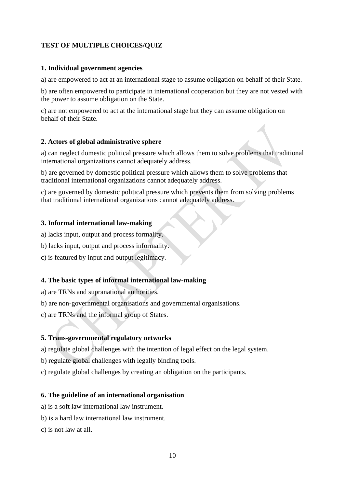## **TEST OF MULTIPLE CHOICES/QUIZ**

## **1. Individual government agencies**

a) are empowered to act at an international stage to assume obligation on behalf of their State.

b) are often empowered to participate in international cooperation but they are not vested with the power to assume obligation on the State.

c) are not empowered to act at the international stage but they can assume obligation on behalf of their State.

## **2. Actors of global administrative sphere**

a) can neglect domestic political pressure which allows them to solve problems that traditional international organizations cannot adequately address.

b) are governed by domestic political pressure which allows them to solve problems that traditional international organizations cannot adequately address.

c) are governed by domestic political pressure which prevents them from solving problems that traditional international organizations cannot adequately address.

## **3. Informal international law-making**

a) lacks input, output and process formality.

- b) lacks input, output and process informality.
- c) is featured by input and output legitimacy.

## **4. The basic types of informal international law-making**

a) are TRNs and supranational authorities.

- b) are non-governmental organisations and governmental organisations.
- c) are TRNs and the informal group of States.

## **5. Trans-governmental regulatory networks**

a) regulate global challenges with the intention of legal effect on the legal system.

b) regulate global challenges with legally binding tools.

c) regulate global challenges by creating an obligation on the participants.

## **6. The guideline of an international organisation**

- a) is a soft law international law instrument.
- b) is a hard law international law instrument.
- c) is not law at all.